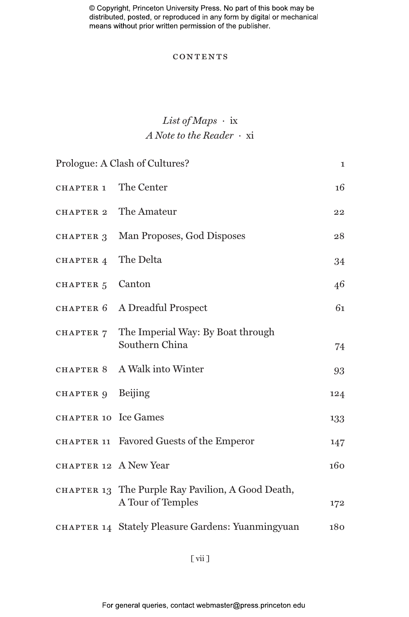© Copyright, Princeton University Press. No part of this book may be distributed, posted, or reproduced in any form by digital or mechanical means without prior written permission of the publisher.

#### **CONTENTS**

## *List of Maps ·* ix *A Note to the Reader ·* xi

| Prologue: A Clash of Cultures? |                                                                        | $\mathbf{I}$ |
|--------------------------------|------------------------------------------------------------------------|--------------|
| CHAPTER 1                      | The Center                                                             | 16           |
| CHAPTER 2                      | The Amateur                                                            | 22           |
| CHAPTER 3                      | Man Proposes, God Disposes                                             | 28           |
| CHAPTER 4                      | The Delta                                                              | 34           |
| CHAPTER 5                      | Canton                                                                 | 46           |
| CHAPTER 6                      | A Dreadful Prospect                                                    | 61           |
| CHAPTER 7                      | The Imperial Way: By Boat through<br>Southern China                    | 74           |
| CHAPTER 8                      | A Walk into Winter                                                     | 93           |
| CHAPTER 9 Beijing              |                                                                        | 124          |
| CHAPTER 10 Ice Games           |                                                                        | 133          |
|                                | CHAPTER 11 Favored Guests of the Emperor                               | 147          |
| CHAPTER 12 A New Year          |                                                                        | 160          |
|                                | CHAPTER 13 The Purple Ray Pavilion, A Good Death,<br>A Tour of Temples | 172          |
|                                | CHAPTER 14 Stately Pleasure Gardens: Yuanmingyuan                      | 180          |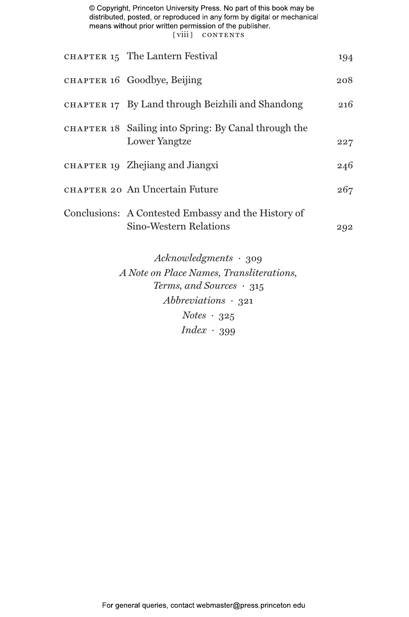© Copyright, Princeton University Press. No part of this book may be distributed, posted, or reproduced in any form by digital or mechanical means without prior written permission of the publisher. [viii] contents

| CHAPTER 15 The Lantern Festival                                               | 194 |
|-------------------------------------------------------------------------------|-----|
| CHAPTER 16 Goodbye, Beijing                                                   | 208 |
| CHAPTER 17 By Land through Beizhili and Shandong                              | 216 |
| CHAPTER 18 Sailing into Spring: By Canal through the<br><b>Lower Yangtze</b>  | 227 |
| CHAPTER 19 Zhejiang and Jiangxi                                               | 246 |
| CHAPTER 20 An Uncertain Future                                                | 267 |
| Conclusions: A Contested Embassy and the History of<br>Sino-Western Relations | 292 |
|                                                                               |     |

*Acknowledgments ·* 309 *A Note on Place Names, Transliterations, Terms, and Sources ·* 315 *Abbreviations ·* 321 *Notes ·* 325 *Index ·* 399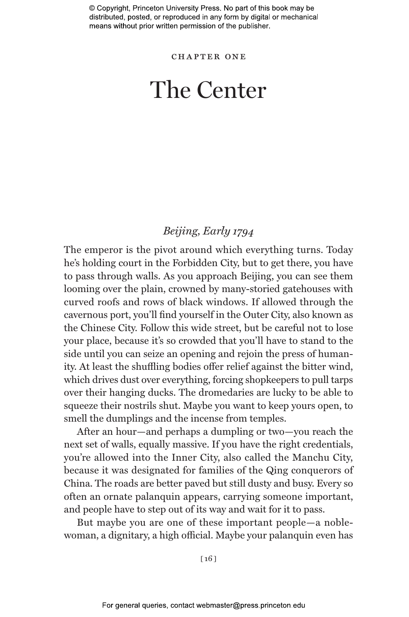© Copyright, Princeton University Press. No part of this book may be distributed, posted, or reproduced in any form by digital or mechanical means without prior written permission of the publisher.

chapter one

# The Center

### *Beijing, Early 1794*

The emperor is the pivot around which everything turns. Today he's holding court in the Forbidden City, but to get there, you have to pass through walls. As you approach Beijing, you can see them looming over the plain, crowned by many-storied gatehouses with curved roofs and rows of black windows. If allowed through the cavernous port, you'll find yourself in the Outer City, also known as the Chinese City. Follow this wide street, but be careful not to lose your place, because it's so crowded that you'll have to stand to the side until you can seize an opening and rejoin the press of humanity. At least the shuffling bodies offer relief against the bitter wind, which drives dust over everything, forcing shopkeepers to pull tarps over their hanging ducks. The dromedaries are lucky to be able to squeeze their nostrils shut. Maybe you want to keep yours open, to smell the dumplings and the incense from temples.

After an hour—and perhaps a dumpling or two—you reach the next set of walls, equally massive. If you have the right credentials, you're allowed into the Inner City, also called the Manchu City, because it was designated for families of the Qing conquerors of China. The roads are better paved but still dusty and busy. Every so often an ornate palanquin appears, carrying someone important, and people have to step out of its way and wait for it to pass.

But maybe you are one of these important people—a noblewoman, a dignitary, a high official. Maybe your palanquin even has

[ 16 ]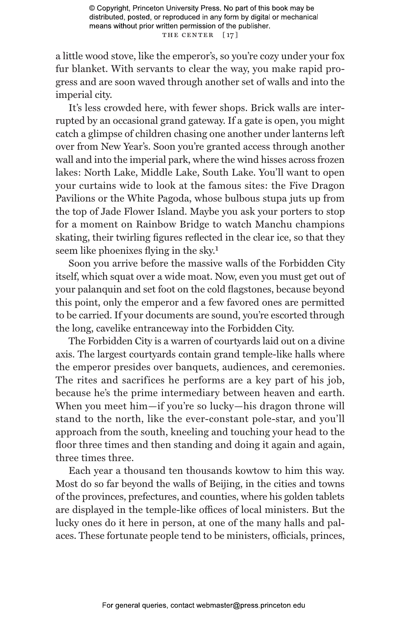a little wood stove, like the emperor's, so you're cozy under your fox fur blanket. With servants to clear the way, you make rapid progress and are soon waved through another set of walls and into the imperial city.

It's less crowded here, with fewer shops. Brick walls are interrupted by an occasional grand gateway. If a gate is open, you might catch a glimpse of children chasing one another under lanterns left over from New Year's. Soon you're granted access through another wall and into the imperial park, where the wind hisses across frozen lakes: North Lake, Middle Lake, South Lake. You'll want to open your curtains wide to look at the famous sites: the Five Dragon Pavilions or the White Pagoda, whose bulbous stupa juts up from the top of Jade Flower Island. Maybe you ask your porters to stop for a moment on Rainbow Bridge to watch Manchu champions skating, their twirling figures reflected in the clear ice, so that they seem like phoenixes flying in the sky.1

Soon you arrive before the massive walls of the Forbidden City itself, which squat over a wide moat. Now, even you must get out of your palanquin and set foot on the cold flagstones, because beyond this point, only the emperor and a few favored ones are permitted to be carried. If your documents are sound, you're escorted through the long, cavelike entranceway into the Forbidden City.

The Forbidden City is a warren of courtyards laid out on a divine axis. The largest courtyards contain grand temple-like halls where the emperor presides over banquets, audiences, and ceremonies. The rites and sacrifices he performs are a key part of his job, because he's the prime intermediary between heaven and earth. When you meet him—if you're so lucky—his dragon throne will stand to the north, like the ever-constant pole-star, and you'll approach from the south, kneeling and touching your head to the floor three times and then standing and doing it again and again, three times three.

Each year a thousand ten thousands kowtow to him this way. Most do so far beyond the walls of Beijing, in the cities and towns of the provinces, prefectures, and counties, where his golden tablets are displayed in the temple-like offices of local ministers. But the lucky ones do it here in person, at one of the many halls and palaces. These fortunate people tend to be ministers, officials, princes,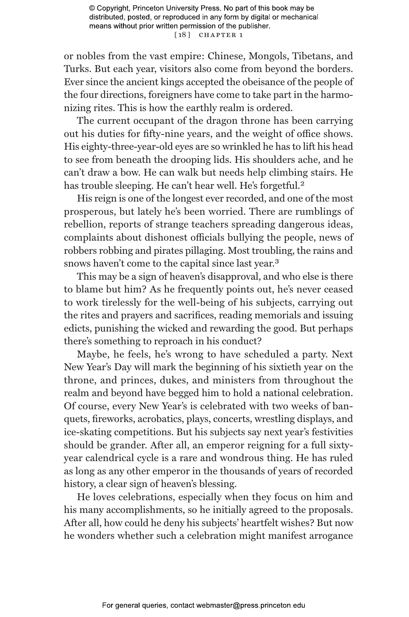or nobles from the vast empire: Chinese, Mongols, Tibetans, and Turks. But each year, visitors also come from beyond the borders. Ever since the ancient kings accepted the obeisance of the people of the four directions, foreigners have come to take part in the harmonizing rites. This is how the earthly realm is ordered.

The current occupant of the dragon throne has been carrying out his duties for fifty-nine years, and the weight of office shows. His eighty-three-year-old eyes are so wrinkled he has to lift his head to see from beneath the drooping lids. His shoulders ache, and he can't draw a bow. He can walk but needs help climbing stairs. He has trouble sleeping. He can't hear well. He's forgetful.<sup>2</sup>

His reign is one of the longest ever recorded, and one of the most prosperous, but lately he's been worried. There are rumblings of rebellion, reports of strange teachers spreading dangerous ideas, complaints about dishonest officials bullying the people, news of robbers robbing and pirates pillaging. Most troubling, the rains and snows haven't come to the capital since last year.<sup>3</sup>

This may be a sign of heaven's disapproval, and who else is there to blame but him? As he frequently points out, he's never ceased to work tirelessly for the well-being of his subjects, carrying out the rites and prayers and sacrifices, reading memorials and issuing edicts, punishing the wicked and rewarding the good. But perhaps there's something to reproach in his conduct?

Maybe, he feels, he's wrong to have scheduled a party. Next New Year's Day will mark the beginning of his sixtieth year on the throne, and princes, dukes, and ministers from throughout the realm and beyond have begged him to hold a national celebration. Of course, every New Year's is celebrated with two weeks of banquets, fireworks, acrobatics, plays, concerts, wrestling displays, and ice-skating competitions. But his subjects say next year's festivities should be grander. After all, an emperor reigning for a full sixtyyear calendrical cycle is a rare and wondrous thing. He has ruled as long as any other emperor in the thousands of years of recorded history, a clear sign of heaven's blessing.

He loves celebrations, especially when they focus on him and his many accomplishments, so he initially agreed to the proposals. After all, how could he deny his subjects' heartfelt wishes? But now he wonders whether such a celebration might manifest arrogance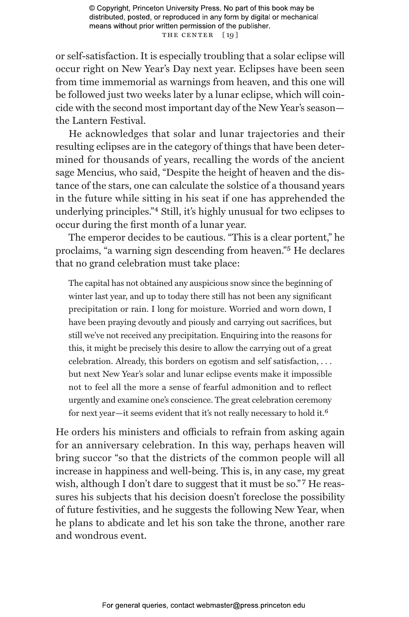© Copyright, Princeton University Press. No part of this book may be distributed, posted, or reproduced in any form by digital or mechanical means without prior written permission of the publisher. THE CENTER [19]

or self-satisfaction. It is especially troubling that a solar eclipse will occur right on New Year's Day next year. Eclipses have been seen from time immemorial as warnings from heaven, and this one will be followed just two weeks later by a lunar eclipse, which will coincide with the second most important day of the New Year's season the Lantern Festival.

He acknowledges that solar and lunar trajectories and their resulting eclipses are in the category of things that have been determined for thousands of years, recalling the words of the ancient sage Mencius, who said, "Despite the height of heaven and the distance of the stars, one can calculate the solstice of a thousand years in the future while sitting in his seat if one has apprehended the underlying principles."4 Still, it's highly unusual for two eclipses to occur during the first month of a lunar year.

The emperor decides to be cautious. "This is a clear portent," he proclaims, "a warning sign descending from heaven."5 He declares that no grand celebration must take place:

The capital has not obtained any auspicious snow since the beginning of winter last year, and up to today there still has not been any significant precipitation or rain. I long for moisture. Worried and worn down, I have been praying devoutly and piously and carrying out sacrifices, but still we've not received any precipitation. Enquiring into the reasons for this, it might be precisely this desire to allow the carrying out of a great celebration. Already, this borders on egotism and self satisfaction, . . . but next New Year's solar and lunar eclipse events make it impossible not to feel all the more a sense of fearful admonition and to reflect urgently and examine one's conscience. The great celebration ceremony for next year—it seems evident that it's not really necessary to hold it.6

He orders his ministers and officials to refrain from asking again for an anniversary celebration. In this way, perhaps heaven will bring succor "so that the districts of the common people will all increase in happiness and well-being. This is, in any case, my great wish, although I don't dare to suggest that it must be so."<sup>7</sup> He reassures his subjects that his decision doesn't foreclose the possibility of future festivities, and he suggests the following New Year, when he plans to abdicate and let his son take the throne, another rare and wondrous event.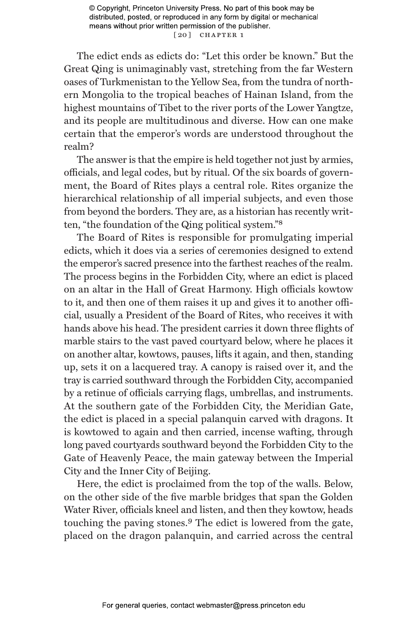© Copyright, Princeton University Press. No part of this book may be distributed, posted, or reproduced in any form by digital or mechanical means without prior written permission of the publisher. [20] CHAPTER 1

The edict ends as edicts do: "Let this order be known." But the Great Qing is unimaginably vast, stretching from the far Western oases of Turkmenistan to the Yellow Sea, from the tundra of northern Mongolia to the tropical beaches of Hainan Island, from the highest mountains of Tibet to the river ports of the Lower Yangtze, and its people are multitudinous and diverse. How can one make certain that the emperor's words are understood throughout the realm?

The answer is that the empire is held together not just by armies, officials, and legal codes, but by ritual. Of the six boards of government, the Board of Rites plays a central role. Rites organize the hierarchical relationship of all imperial subjects, and even those from beyond the borders. They are, as a historian has recently written, "the foundation of the Qing political system."8

The Board of Rites is responsible for promulgating imperial edicts, which it does via a series of ceremonies designed to extend the emperor's sacred presence into the farthest reaches of the realm. The process begins in the Forbidden City, where an edict is placed on an altar in the Hall of Great Harmony. High officials kowtow to it, and then one of them raises it up and gives it to another official, usually a President of the Board of Rites, who receives it with hands above his head. The president carries it down three flights of marble stairs to the vast paved courtyard below, where he places it on another altar, kowtows, pauses, lifts it again, and then, standing up, sets it on a lacquered tray. A canopy is raised over it, and the tray is carried southward through the Forbidden City, accompanied by a retinue of officials carrying flags, umbrellas, and instruments. At the southern gate of the Forbidden City, the Meridian Gate, the edict is placed in a special palanquin carved with dragons. It is kowtowed to again and then carried, incense wafting, through long paved courtyards southward beyond the Forbidden City to the Gate of Heavenly Peace, the main gateway between the Imperial City and the Inner City of Beijing.

Here, the edict is proclaimed from the top of the walls. Below, on the other side of the five marble bridges that span the Golden Water River, officials kneel and listen, and then they kowtow, heads touching the paving stones.9 The edict is lowered from the gate, placed on the dragon palanquin, and carried across the central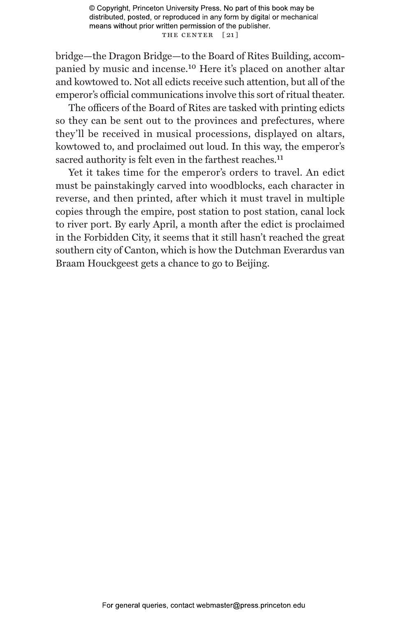© Copyright, Princeton University Press. No part of this book may be distributed, posted, or reproduced in any form by digital or mechanical means without prior written permission of the publisher. THE CENTER [21]

bridge—the Dragon Bridge—to the Board of Rites Building, accompanied by music and incense.10 Here it's placed on another altar and kowtowed to. Not all edicts receive such attention, but all of the emperor's official communications involve this sort of ritual theater.

The officers of the Board of Rites are tasked with printing edicts so they can be sent out to the provinces and prefectures, where they'll be received in musical processions, displayed on altars, kowtowed to, and proclaimed out loud. In this way, the emperor's sacred authority is felt even in the farthest reaches.<sup>11</sup>

Yet it takes time for the emperor's orders to travel. An edict must be painstakingly carved into woodblocks, each character in reverse, and then printed, after which it must travel in multiple copies through the empire, post station to post station, canal lock to river port. By early April, a month after the edict is proclaimed in the Forbidden City, it seems that it still hasn't reached the great southern city of Canton, which is how the Dutchman Everardus van Braam Houckgeest gets a chance to go to Beijing.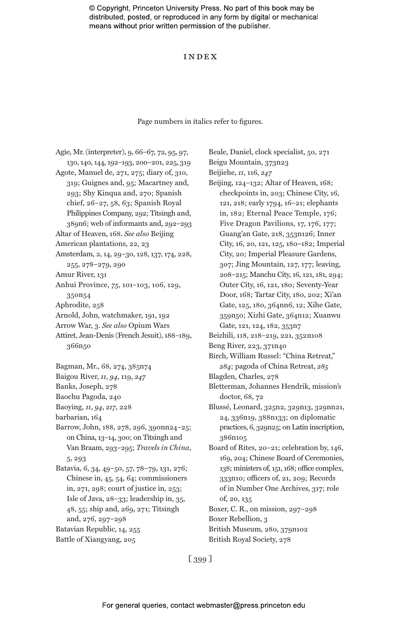© Copyright, Princeton University Press. No part of this book may be distributed, posted, or reproduced in any form by digital or mechanical means without prior written permission of the publisher.

#### Index

#### Page numbers in italics refer to figures.

Agie, Mr. (interpreter), 9, 66–67, 72, 95, 97, 130, 140, 144, 192–193, 200–201, 225, 319 Agote, Manuel de, 271, 275; diary of, 310, 319; Guignes and, 95; Macartney and, 293; Shy Kinqua and, 270; Spanish chief, 26–27, 58, 63; Spanish Royal Philippines Company, 292; Titsingh and, 389n6; web of informants and, 292–293 Altar of Heaven, 168. *See also* Beijing American plantations, 22, 23 Amsterdam, 2, 14, 29–30, 128, 137, 174, 228, 255, 278–279, 290 Amur River, 131 Anhui Province, *75*, 101–103, 106, 129, 350n54 Aphrodite, 258 Arnold, John, watchmaker, 191, 192 Arrow War, 3. *See also* Opium Wars Attiret, Jean-Denis (French Jesuit), 188–189, 366n50 Bagman, Mr., 68, 274, 385n74 Baigou River, *11*, *94*, 119, *247* Banks, Joseph, 278 Baochu Pagoda, 240 Baoying, *11*, *94*, *217*, 228 barbarian, 164 Barrow, John, 188, 278, 296, 390nn24–25; on China, 13–14, 300; on Titsingh and Van Braam, 293–295; *Travels in China*, 5, 293 Batavia, 6, 34, 49–50, 57, 78–79, 131, 276; Chinese in, 45, 54, 64; commissioners in, 271, 298; court of justice in, 253; Isle of Java, 28–33; leadership in, 35, 48, 55; ship and, 269, 271; Titsingh and, 276, 297–298 Batavian Republic, 14, 255 Battle of Xiangyang, 205

Beale, Daniel, clock specialist, 50, 271 Beigu Mountain, 373n23 Beijiehe, *11*, 116, *247* Beijing, 124–132; Altar of Heaven, 168; checkpoints in, 203; Chinese City, 16, 121, 218; early 1794, 16–21; elephants in, 182; Eternal Peace Temple, 176; Five Dragon Pavilions, 17, 176, 177; Guang'an Gate, 218, 353n126; Inner City, 16, 20, 121, 125, 180–182; Imperial City, 20; Imperial Pleasure Gardens, 307; Jing Mountain, 127, 177; leaving, 208–215; Manchu City, 16, 121, 181, 294; Outer City, 16, 121, 180; Seventy-Year Door, 168; Tartar City, 180, 202; Xi'an Gate, 125, 180, 364nn6, 12; Xihe Gate, 359n50; Xizhi Gate, 364n12; Xuanwu Gate, 121, 124, 182, 353n7 Beizhili, 118, 218–219, 221, 352n108 Beng River, 223, 371n40 Birch, William Russel: "China Retreat," *284*; pagoda of China Retreat, *285* Blagden, Charles, 278 Bletterman, Johannes Hendrik, mission's doctor, 68, 72 Blussé, Leonard, 325n2, 329n13, 329nn21, 24, 336n19, 388n133; on diplomatic practices, 6, 329n25; on Latin inscription, 386n105 Board of Rites, 20–21; celebration by, 146, 169, 204; Chinese Board of Ceremonies, 138; ministers of, 151, 168; office complex, 333n10; officers of, 21, 209; Records of in Number One Archives, 317; role of, 20, 135 Boxer, C. R., on mission, 297–298 Boxer Rebellion, 3 British Museum, 280, 379n102 British Royal Society, 278

[ 399 ]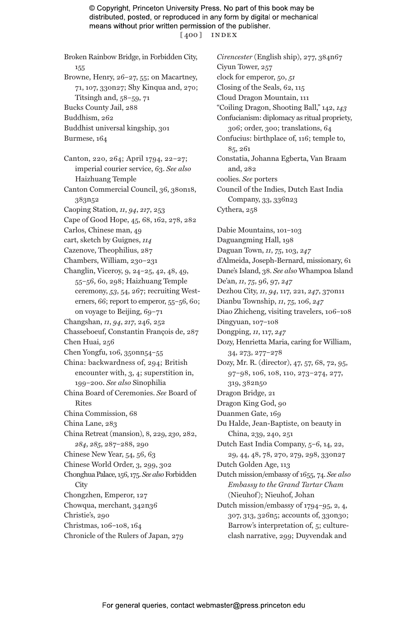© Copyright, Princeton University Press. No part of this book may be distributed, posted, or reproduced in any form by digital or mechanical means without prior written permission of the publisher. [ $400$ ] INDEX

155 Browne, Henry, 26–27, 55; on Macartney, 71, 107, 330n27; Shy Kinqua and, 270; Titsingh and,  $58-59$ ,  $71$ Bucks County Jail, 288 Buddhism, 262 Buddhist universal kingship, 301 Burmese, 164 Canton, 220, 264; April 1794, 22–27; imperial courier service, 63. *See also* Haizhuang Temple Canton Commercial Council, 36, 380n18, 383n52 Caoping Station, *11*, *94*, *217*, 253 Cape of Good Hope, 45, 68, 162, 278, 282 Carlos, Chinese man, 49 cart, sketch by Guignes, *114* Cazenove, Theophilius, 287 Chambers, William, 230–231 Changlin, Viceroy, 9, 24–25, 42, 48, 49, 55–56, 60, 298; Haizhuang Temple ceremony, *53*, 54, 267; recruiting Westerners, 66; report to emperor, 55–56, 60; on voyage to Beijing, 69–71 Changshan, *11*, *94*, *217*, 246, 252 Chasseboeuf, Constantin François de, 287 Chen Huai, 256 Chen Yongfu, 106, 350nn54–55 China: backwardness of, 294; British encounter with, 3, 4; superstition in, 199–200. *See also* Sinophilia China Board of Ceremonies. *See* Board of Rites China Commission, 68 China Lane, 283 China Retreat (mansion), 8, 229, *230*, 282, *284*, *285*, 287–288, 290 Chinese New Year, 54, 56, 63 Chinese World Order, 3, 299, 302 Chonghua Palace, 156, 175. *See also* Forbidden **City** Chongzhen, Emperor, 127 Chowqua, merchant, 342n36 Christie's, 290 Christmas, 106–108, 164 Chronicle of the Rulers of Japan, 279

Broken Rainbow Bridge, in Forbidden City,

*Cirencester* (English ship), 277, 384n67 Ciyun Tower, 257 clock for emperor, 50, *51* Closing of the Seals, 62, 115 Cloud Dragon Mountain, 111 "Coiling Dragon, Shooting Ball," 142, *143* Confucianism: diplomacy as ritual propriety, 306; order, 300; translations, 64 Confucius: birthplace of, 116; temple to, 85, 261 Constatia, Johanna Egberta, Van Braam and, 282 coolies. *See* porters Council of the Indies, Dutch East India Company, 33, 336n23 Cythera, 258 Dabie Mountains, 101–103 Daguangming Hall, 198 Daguan Town, *11*, *75*, 103, *247* d'Almeida, Joseph-Bernard, missionary, 61 Dane's Island, 38. *See also* Whampoa Island De'an, *11*, *75*, 96, 97, *247* Dezhou City, *11*, *94*, 117, 221, *247*, 370n11 Dianbu Township, *11*, *75*, 106, *247* Diao Zhicheng, visiting travelers, 106–108 Dingyuan, 107–108 Dongping, *11*, 117, *247* Dozy, Henrietta Maria, caring for William, 34, 273, 277–278 Dozy, Mr. R. (director), 47, 57, 68, 72, 95, 97–98, 106, 108, 110, 273–274, 277, 319, 382n50 Dragon Bridge, 21 Dragon King God, 90 Duanmen Gate, 169 Du Halde, Jean-Baptiste, on beauty in China, 239, 240, 251 Dutch East India Company, 5–6, 14, 22, 29, 44, 48, 78, 270, 279, 298, 330n27

Dutch Golden Age, 113

Dutch mission/embassy of 1655, 74. *See also Embassy to the Grand Tartar Cham* (Nieuhof); Nieuhof, Johan

Dutch mission/embassy of 1794–95, 2, 4, 307, 313, 326n5; accounts of, 330n30; Barrow's interpretation of, 5; cultureclash narrative, 299; Duyvendak and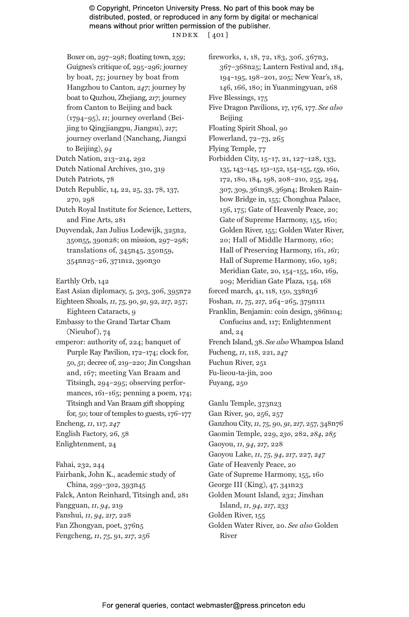#### © Copyright, Princeton University Press. No part of this book may be distributed, posted, or reproduced in any form by digital or mechanical means without prior written permission of the publisher. index [ 401 ]

Boxer on, 297–298; floating town, *259*; Guignes's critique of, 295–296; journey by boat, *75*; journey by boat from Hangzhou to Canton, *247*; journey by boat to Quzhou, Zhejiang, *217*; journey from Canton to Beijing and back (1794–95), *11*; journey overland (Beijing to Qingjiangpu, Jiangsu), *217*; journey overland (Nanchang, Jiangxi to Beijing), *94*

Dutch Nation, 213–214, 292

Dutch National Archives, 310, 319

Dutch Patriots, 78

Dutch Republic, 14, 22, 25, 33, 78, 137, 270, 298

- Dutch Royal Institute for Science, Letters, and Fine Arts, 281
- Duyvendak, Jan Julius Lodewijk, 325n2, 350n55, 390n28; on mission, 297–298; translations of, 345n45, 350n59, 354nn25–26, 371n12, 390n30

Earthly Orb, 142

East Asian diplomacy, 5, 303, 306, 395n72

Eighteen Shoals, *11*, *75*, 90, *91*, 92, *217*, 257; Eighteen Cataracts, 9

Embassy to the Grand Tartar Cham (Nieuhof), 74

emperor: authority of, 224; banquet of Purple Ray Pavilion, 172–174; clock for, 50, *51*; decree of, 219–220; Jin Congshan and, 167; meeting Van Braam and Titsingh, 294–295; observing performances, 161–165; penning a poem, 174; Titsingh and Van Braam gift shopping for, 50; tour of temples to guests, 176–177 Encheng, *11*, 117, *247* English Factory, 26, 58

Enlightenment, 24

Fahai, 232, 244 Fairbank, John K., academic study of China, 299–302, 393n45 Falck, Anton Reinhard, Titsingh and, 281 Fangguan, *11*, *94*, 219 Fanshui, *11*, *94*, *217*, 228 Fan Zhongyan, poet, 376n5 Fengcheng, *11*, *75*, 91, *217*, 256

fireworks, 1, 18, 72, 183, 306, 367n3, 367–368n25; Lantern Festival and, 184, 194–195, 198–201, 205; New Year's, 18, 146, 166, 180; in Yuanmingyuan, 268

Five Blessings, 175

- Five Dragon Pavilions, 17, 176, 177. *See also* Beijing
- Floating Spirit Shoal, 90
- Flowerland, 72–73, 265
- Flying Temple, 77
- Forbidden City, 15–17, 21, 127–128, 133, 135, 143–145, 151–152, 154–155, *159*, 160, 172, 180, 184, 198, 208–210, 255, 294, 307, 309, 361n38, 369n4; Broken Rainbow Bridge in, 155; Chonghua Palace, 156, 175; Gate of Heavenly Peace, 20; Gate of Supreme Harmony, 155, 160; Golden River, 155; Golden Water River, 20; Hall of Middle Harmony, 160; Hall of Preserving Harmony, 161, *161*; Hall of Supreme Harmony, 160, 198; Meridian Gate, 20, 154–155, 160, 169, 209; Meridian Gate Plaza, 154, 168
- forced march, 41, 118, 150, 338n36
- Foshan, *11*, *75*, *217*, 264–265, 379n111
- Franklin, Benjamin: coin design, 386n104; Confucius and, 117; Enlightenment and, 24
- French Island, 38. *See also* Whampoa Island Fucheng, *11*, 118, 221, *247* Fuchun River, 251

Fu-lieou-ta-jin, 200

Fuyang, 250

Ganlu Temple, 373n23 Gan River, 90, 256, 257 Ganzhou City, *11*, *75*, 90, *91*, *217*, 257, 348n76 Gaomin Temple, 229, *230*, 282, *284*, *285* Gaoyou, *11*, *94*, *217*, 228 Gaoyou Lake, *11*, *75*, *94*, *217*, 227, *247* Gate of Heavenly Peace, 20 Gate of Supreme Harmony, 155, 160 George III (King), 47, 341n23 Golden Mount Island, 232; Jinshan Island, *11*, *94*, *217*, *233* Golden River, 155 Golden Water River, 20. *See also* Golden River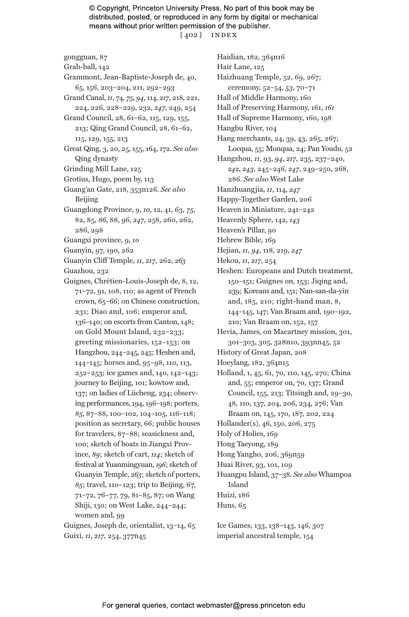© Copyright, Princeton University Press. No part of this book may be distributed, posted, or reproduced in any form by digital or mechanical means without prior written permission of the publisher. [ 402 ] index

gongguan, 87

- Grab-ball, 142
- Grammont, Jean-Baptiste-Joseph de, 40, 65, 156, 203–204, 211, 292–293
- Grand Canal, *11*, 74, *75*, *94*, 114, *217*, 218, 221, 224, 226, 228–229, 232, *247*, 249, 254

Grand Council, 28, 61–62, 115, 129, 155, 213; Qing Grand Council, 28, 61–62, 115, 129, 155, 213

- Great Qing, 3, 20, 25, 155, 164, 172. *See also* Qing dynasty
- Grinding Mill Lane, 125
- Grotius, Hugo, poem by, 113
- Guang'an Gate, 218, 353n126. *See also* Beijing
- Guangdong Province, 9, *10*, 12, 41, 63, *75*, 82, 85, *86*, 88, 96, *247*, 258, 260, 262, 286, 298
- Guangxi province, 9, *10*
- Guanyin, 97, 190, 262
- Guanyin Cliff Temple, *11*, *217*, 262, *263*
- Guazhou, 232
- Guignes, Chrétien-Louis-Joseph de, 8, 12, 71–72, 91, 108, 110; as agent of French crown, 65–66; on Chinese construction, 231; Diao and, 106; emperor and, 136–140; on escorts from Canton, 148; on Gold Mount Island, 232–233; greeting missionaries, 152–153; on Hangzhou, 244–245, 245; Heshen and, 144–145; horses and, 95–98, 110, 113, 252–253; ice games and, 140, 142–143; journey to Beijing, 101; kowtow and, 137; on ladies of Lücheng, 234; observing performances, 194, 196–198; porters, *85*, 87–88, 100–102, 104–105, 116–118; position as secretary, 66; public houses for travelers, 87–88; seasickness and, 100; sketch of boats in Jiangxi Province, *89*; sketch of cart, *114*; sketch of festival at Yuanmingyuan, *196*; sketch of Guanyin Temple, *263*; sketch of porters, *85*; travel, 110–123; trip to Beijing, 67, 71–72, 76–77, 79, 81–85, 87; on Wang Shiji, 130; on West Lake, 244–244; women and, 99

Guignes, Joseph de, orientalist, 13–14, 65 Guixi, *11*, *217*, 254, 377n45

Haidian, 182, 364n16 Hair Lane, 125 Haizhuang Temple, 52, 69, 267; ceremony, 52–54, *53*, 70–71 Hall of Middle Harmony, 160 Hall of Preserving Harmony, 161, *161* Hall of Supreme Harmony, 160, 198 Hangbu River, 104 Hang merchants, 24, 39, 43, 265, 267; Locqua, 55; Monqua, 24; Pan Youdu, 52 Hangzhou, *11*, 93, *94*, *217*, 235, 237–240, *242*, *243*, 245–246, *247*, 249–250, 268, 286. *See also* West Lake Hanzhuangjia, *11*, 114, *247* Happy-Together Garden, 206 Heaven in Miniature, 241–242 Heavenly Sphere, 142, *143* Heaven's Pillar, 90 Hebrew Bible, 169 Hejian, *11*, *94*, 118, 219, *247* Hekou, *11*, *217*, 254 Heshen: Europeans and Dutch treatment, 150–151; Guignes on, 153; Jiqing and, 239; Koreans and, 151; Nan-san-da-yin and, 185, 210; right-hand man, 8, 144–145, 147; Van Braam and, 190–192, 210; Van Braam on, 152, 157 Hevia, James, on Macartney mission, 301, 301–303, 305, 328n10, 393nn45, 52 History of Great Japan, 208 Hoeylang, 182, 364n15 Holland, 1, 45, 61, 70, 110, 145, 270; China and, 55; emperor on, 70, 137; Grand Council, 155, 213; Titsingh and, 29–30, 48, 110, 137, 204, 206, 234, 276; Van Braam on, 145, 170, 187, 202, 224 Hollander(s), 46, 150, 206, 275 Holy of Holies, 169 Hong Taeyong, 189 Hong Yangho, 206, 369n59 Huai River, 93, 101, 109 Huangpu Island, 37–38. *See also* Whampoa Island Huizi, 186 Huns, 65

Ice Games, 133, 138–143, 146, 307 imperial ancestral temple, 154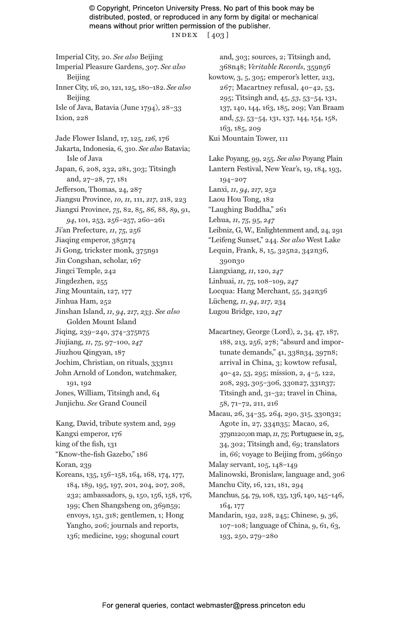© Copyright, Princeton University Press. No part of this book may be distributed, posted, or reproduced in any form by digital or mechanical means without prior written permission of the publisher. index [ 403 ]

Imperial City, 20. *See also* Beijing Imperial Pleasure Gardens, 307. *See also* Beijing Inner City, 16, 20, 121, 125, 180–182. *See also* Beijing Isle of Java, Batavia (June 1794), 28–33 Ixion, 228 Jade Flower Island, 17, 125, *126*, 176 Jakarta, Indonesia, 6, 310. *See also* Batavia; Isle of Java Japan, 6, 208, 232, 281, 303; Titsingh and, 27–28, 77, 181 Jefferson, Thomas, 24, 287 Jiangsu Province, *10*, *11*, 111, *217*, 218, 223 Jiangxi Province, *75*, 82, 85, *86*, 88, *89*, 91, *94*, 101, 253, 256–257, 260–261 Ji'an Prefecture, *11*, *75*, 256 Jiaqing emperor, 385n74 Ji Gong, trickster monk, 375n91 Jin Congshan, scholar, 167 Jingci Temple, 242 Jingdezhen, 255 Jing Mountain, 127, 177 Jinhua Ham, 252 Jinshan Island, *11*, *94*, *217*, *233*. *See also* Golden Mount Island Jiqing, 239–240, 374–375n75 Jiujiang, *11*, *75*, 97–100, *247* Jiuzhou Qingyan, 187 Jochim, Christian, on rituals, 333n11 John Arnold of London, watchmaker, 191, 192 Jones, William, Titsingh and, 64 Junjichu. *See* Grand Council

Kang, David, tribute system and, 299 Kangxi emperor, 176 king of the fish, 131 "Know-the-fish Gazebo," 186 Koran, 239 Koreans, 135, 156–158, 164, 168, 174, 177,

184, 189, 195, 197, 201, 204, 207, 208, 232; ambassadors, 9, 150, 156, 158, 176, 199; Chen Shangsheng on, 369n59; envoys, 151, 318; gentlemen, 1; Hong Yangho, 206; journals and reports, 136; medicine, 199; shogunal court

and, 303; sources, 2; Titsingh and, 368n48; *Veritable Records*, 359n56 kowtow, 3, 5, 305; emperor's letter, 213, 267; Macartney refusal, 40–42, 53, 295; Titsingh and, 45, *53*, 53–54, 131, 137, 140, 144, 163, 185, 209; Van Braam and, *53*, 53–54, 131, 137, 144, 154, 158, 163, 185, 209 Kui Mountain Tower, 111

- Lake Poyang, 99, 255. *See also* Poyang Plain Lantern Festival, New Year's, 19, 184, 193, 194–207 Lanxi, *11*, *94*, *217*, 252 Laou Hou Tong, 182 "Laughing Buddha," 261 Lehua, *11*, *75*, 95, *247* Leibniz, G, W., Enlightenment and, 24, 291 "Leifeng Sunset," 244. *See also* West Lake Lequin, Frank, 8, 15, 325n2, 342n36, 390n30 Liangxiang, *11*, 120, *247* Linhuai, *11*, *75*, 108–109, *247* Locqua: Hang Merchant, 55, 342n36 Lücheng, *11*, *94*, *217*, 234 Lugou Bridge, 120, *247*
- Macartney, George (Lord), 2, 34, 47, 187, 188, 213, 256, 278; "absurd and importunate demands," 41, 338n34, 397n8; arrival in China, 3; kowtow refusal, 40–42, 53, 295; mission, 2, 4–5, 122, 208, 293, 305–306, 330n27, 331n37; Titsingh and, 31–32; travel in China, 58, 71–72, 211, 216
- Macau, 26, 34–35, 264, 290, 315, 330n32; Agote in, 27, 334n35; Macao, 26, 379n120;on map, *11*, *75*; Portuguese in, 25, 34, 302; Titsingh and, 69; translators in, 66; voyage to Beijing from, 366n50 Malay servant, 105, 148–149

Malinowski, Bronislaw, language and, 306

Manchu City, 16, 121, 181, 294

Manchus, 54, 79, 108, 135, 136, 140, 145–146, 164, 177

Mandarin, 192, 228, 245; Chinese, 9, 36, 107–108; language of China, 9, 61, 63, 193, 250, 279–280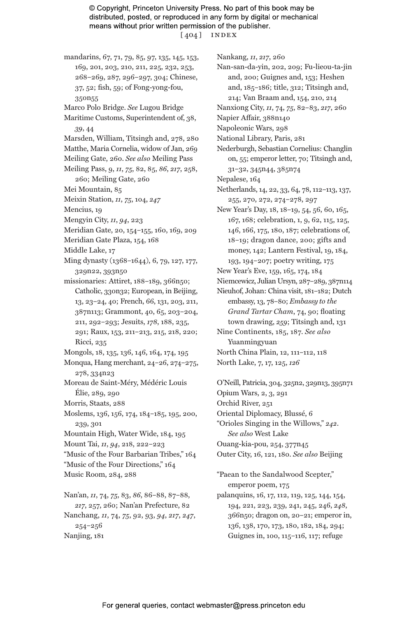© Copyright, Princeton University Press. No part of this book may be distributed, posted, or reproduced in any form by digital or mechanical means without prior written permission of the publisher. [ 404 ] index

mandarins, 67, 71, 79, 85, 97, 135, 145, 153, 169, 201, 203, 210, 211, 225, 232, 253, 268–269, 287, 296–297, 304; Chinese, 37, 52; fish, 59; of Fong-yong-fou, 350n55

Marco Polo Bridge. *See* Lugou Bridge

- Maritime Customs, Superintendent of, 38, *39*, 44
- Marsden, William, Titsingh and, 278, 280
- Matthe, Maria Cornelia, widow of Jan, 269

Meiling Gate, 260. *See also* Meiling Pass

- Meiling Pass, 9, *11*, *75*, 82, 85, *86*, *217*, 258, 260; Meiling Gate, 260
- Mei Mountain, 85
- Meixin Station, *11*, *75*, 104, *247*
- Mencius, 19
- Mengyin City, *11*, *94*, 223
- Meridian Gate, 20, 154–155, 160, 169, 209
- Meridian Gate Plaza, 154, 168
- Middle Lake, 17
- Ming dynasty (1368–1644), 6, 79, 127, 177, 329n22, 393n50
- missionaries: Attiret, 188-189, 366n50; Catholic, 330n32; European, in Beijing, 13, 23–24, 40; French, 66, 131, 203, 211, 387n113; Grammont, 40, 65, 203–204, 211, 292–293; Jesuits, *178*, 188, 235, 291; Raux, 153, 211–213, 215, 218, 220; Ricci, 235
- Mongols, 18, 135, 136, 146, 164, 174, 195
- Monqua, Hang merchant, 24–26, 274–275, 278, 334n23
- Moreau de Saint-Méry, Médéric Louis Élie, 289, 290
- Morris, Staats, 288
- Moslems, 136, 156, 174, 184–185, 195, 200, 239, 301
- Mountain High, Water Wide, 184, 195
- Mount Tai, *11*, *94*, 218, 222–223

"Music of the Four Barbarian Tribes," 164

"Music of the Four Directions," 164

Music Room, 284, 288

Nan'an, *11*, 74, *75*, 83, *86*, 86–88, 87–88, *217*, 257, 260; Nan'an Prefecture, 82 Nanchang, *11*, 74, *75*, 92, 93, *94*, *217*, *247*, 254–256 Nanjing, 181

Nankang, *11*, *217*, 260

- Nan-san-da-yin, 202, 209; Fu-lieou-ta-jin and, 200; Guignes and, 153; Heshen and, 185–186; title, 312; Titsingh and, 214; Van Braam and, 154, 210, 214
- Nanxiong City, *11*, 74, *75*, 82–83, *217*, 260

Napier Affair, 388n140

Napoleonic Wars, 298

National Library, Paris, 281

Nederburgh, Sebastian Cornelius: Changlin on, 55; emperor letter, 70; Titsingh and, 31–32, 345n44, 385n74

Nepalese, 164

- Netherlands, 14, 22, 33, 64, 78, 112–113, 137, 255, 270, 272, 274–278, 297
- New Year's Day, 18, 18–19, 54, 56, 60, 165, 167, 168; celebration, 1, 9, 62, 115, 125, 146, 166, 175, 180, 187; celebrations of, 18–19; dragon dance, 200; gifts and money, 142; Lantern Festival, 19, 184, 193, 194–207; poetry writing, 175
- New Year's Eve, 159, 165, 174, 184
- Niemcewicz, Julian Ursyn, 287–289, 387n114
- Nieuhof, Johan: China visit, 181–182; Dutch embassy, 13, 78–80; *Embassy to the Grand Tartar Cham*, 74, 90; floating town drawing, *259*; Titsingh and, 131 Nine Continents, 185, 187. *See also* Yuanmingyuan
- North China Plain, 12, 111–112, 118 North Lake, 7, 17, 125, *126*
- O'Neill, Patricia, 304, 325n2, 329n13, 395n71 Opium Wars, 2, 3, 291 Orchid River, 251 Oriental Diplomacy, Blussé, 6 "Orioles Singing in the Willows," *242*. *See also* West Lake Ouang-kia-pou, 254, 377n45 Outer City, 16, 121, 180. *See also* Beijing

"Paean to the Sandalwood Scepter," emperor poem, 175

palanquins, 16, 17, 112, 119, 125, 144, 154, 194, 221, 223, 239, 241, 245, 246, *248*, 366n50; dragon on, 20–21; emperor in, 136, 138, 170, 173, 180, 182, 184, 294; Guignes in, 100, 115–116, 117; refuge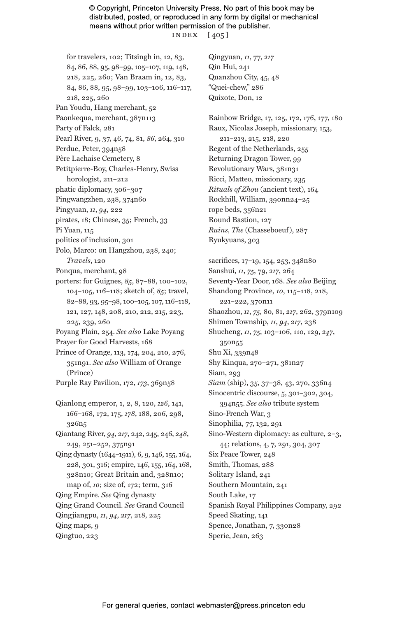#### © Copyright, Princeton University Press. No part of this book may be distributed, posted, or reproduced in any form by digital or mechanical means without prior written permission of the publisher. index [ 405 ]

- for travelers, 102; Titsingh in, 12, 83, 84, 86, 88, 95, 98–99, 105–107, 119, 148, 218, 225, 260; Van Braam in, 12, 83, 84, 86, 88, 95, 98–99, 103–106, 116–117, 218, 225, 260
- Pan Youdu, Hang merchant, 52
- Paonkequa, merchant, 387n113
- Party of Falck, 281
- Pearl River, 9, 37, 46, 74, 81, *86*, 264, 310
- Perdue, Peter, 394n58
- Père Lachaise Cemetery, 8
- Petitpierre-Boy, Charles-Henry, Swiss horologist, 211–212
- phatic diplomacy, 306–307
- Pingwangzhen, 238, 374n60
- Pingyuan, *11*, *94*, 222
- pirates, 18; Chinese, 35; French, 33
- Pi Yuan, 115
- politics of inclusion, 301
- Polo, Marco: on Hangzhou, 238, 240; *Travels*, 120
- Ponqua, merchant, 98
- porters: for Guignes, *85*, 87–88, 100–102, 104–105, 116–118; sketch of, *85*; travel, 82–88, 93, 95–98, 100–105, 107, 116–118, 121, 127, 148, 208, 210, 212, 215, 223, 225, 239, 260
- Poyang Plain, 254. *See also* Lake Poyang Prayer for Good Harvests, 168
- Prince of Orange, 113, 174, 204, 210, 276, 351n91. *See also* William of Orange (Prince)
- Purple Ray Pavilion, 172, *173*, 369n58
- Qianlong emperor, 1, 2, 8, 120, *126*, 141, 166–168, 172, 175, *178*, 188, 206, 298, 326n5
- Qiantang River, *94*, *217*, 242, 245, 246, *248*, 249, 251–252, 375n91
- Qing dynasty (1644–1911), 6, 9, 146, 155, 164, 228, 301, 316; empire, 146, 155, 164, 168, 328n10; Great Britain and, 328n10; map of, *10*; size of, 172; term, 316
- Qing Empire. *See* Qing dynasty
- Qing Grand Council. *See* Grand Council
- Qingjiangpu, *11*, *94*, *217*, 218, 225
- Qing maps, 9
- Qingtuo, 223
- Qingyuan, *11*, 77, *217* Qin Hui, 241 Quanzhou City, 45, 48 "Quei-chew," 286 Quixote, Don, 12
- Rainbow Bridge, 17, 125, 172, 176, 177, 180 Raux, Nicolas Joseph, missionary, 153, 211–213, 215, 218, 220 Regent of the Netherlands, 255 Returning Dragon Tower, 99 Revolutionary Wars, 381n31 Ricci, Matteo, missionary, 235 *Rituals of Zhou* (ancient text), 164 Rockhill, William, 390nn24–25 rope beds, 356n21 Round Bastion, 127 *Ruins, The* (Chasseboeuf), 287 Ryukyuans, 303
- sacrifices, 17–19, 154, 253, 348n80 Sanshui, *11*, *75*, 79, *217*, 264 Seventy-Year Door, 168. *See also* Beijing Shandong Province, *10*, 115–118, 218, 221–222, 370n11 Shaozhou, *11*, *75*, 80, 81, *217*, 262, 379n109 Shimen Township, *11*, *94*, *217*, 238 Shucheng, *11*, *75*, 103–106, 110, 129, *247*, 350n55 Shu Xi, 339n48 Shy Kinqua, 270–271, 381n27 Siam, 293 *Siam* (ship), 35, 37–38, 43, 270, 336n4 Sinocentric discourse, 5, 301–302, 304, 394n55. *See also* tribute system Sino-French War, 3 Sinophilia, 77, 132, 291 Sino-Western diplomacy: as culture, 2–3, 44; relations, 4, 7, 291, 304, 307 Six Peace Tower, 248 Smith, Thomas, 288 Solitary Island, 241 Southern Mountain, 241 South Lake, 17 Spanish Royal Philippines Company, 292 Speed Skating, 141 Spence, Jonathan, 7, 330n28
- Sperie, Jean, 263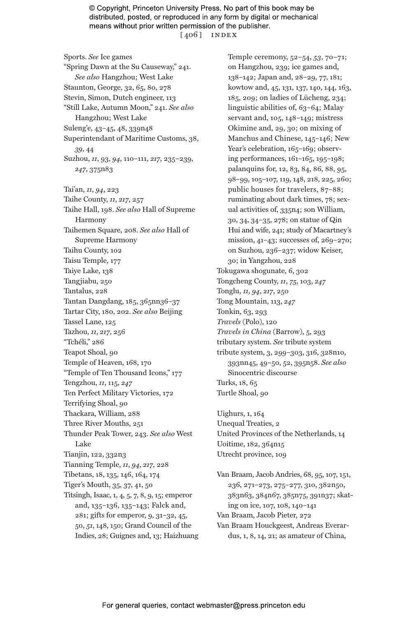© Copyright, Princeton University Press. No part of this book may be distributed, posted, or reproduced in any form by digital or mechanical means without prior written permission of the publisher. [ $406$ ] INDEX

Sports. *See* Ice games "Spring Dawn at the Su Causeway," 241. *See also* Hangzhou; West Lake Staunton, George, 32, 65, 80, 278 Stevin, Simon, Dutch engineer, 113 "Still Lake, Autumn Moon," 241. *See also* Hangzhou; West Lake Suleng'e, 43–45, 48, 339n48 Superintendant of Maritime Customs, 38, *39*, 44 Suzhou, *11*, 93, *94*, 110–111, *217*, 235–239, *247*, 375n83 Tai'an, *11*, *94*, 223 Taihe County, *11*, *217*, 257 Taihe Hall, 198. *See also* Hall of Supreme Harmony Taihemen Square, 208. *See also* Hall of Supreme Harmony Taihu County, 102 Taisu Temple, 177 Taiye Lake, 138 Tangjiabu, 250 Tantalus, 228 Tantan Dangdang, 185, 365nn36–37 Tartar City, 180, 202. *See also* Beijing Tassel Lane, 125 Tazhou, *11*, *217*, 256 "Tchéli," 286 Teapot Shoal, 90 Temple of Heaven, 168, 170 "Temple of Ten Thousand Icons," 177 Tengzhou, *11*, 115, *247* Ten Perfect Military Victories, 172 Terrifying Shoal, 90 Thackara, William, 288 Three River Mouths, 251 Thunder Peak Tower, 243. *See also* West Lake Tianjin, 122, 332n3 Tianning Temple, *11*, *94*, *217*, 228 Tibetans, 18, 135, 146, 164, 174 Tiger's Mouth, 35, 37, 41, 50 Titsingh, Isaac, 1, 4, 5, 7, 8, 9, 15; emperor and, 135–136, 135–143; Falck and, 281; gifts for emperor, 9, 31–32, 45, 50, *51*, 148, 150; Grand Council of the Indies, 28; Guignes and, 13; Haizhuang

Temple ceremony, 52–54, *53*, 70–71; on Hangzhou, 239; ice games and, 138–142; Japan and, 28–29, 77, 181; kowtow and, 45, 131, 137, 140, 144, 163, 185, 209; on ladies of Lücheng, 234; linguistic abilities of, 63–64; Malay servant and, 105, 148–149; mistress Okimine and, 29, 30; on mixing of Manchus and Chinese, 145–146; New Year's celebration, 165-169; observing performances, 161–165, 195–198; palanquins for, 12, 83, 84, 86, 88, 95, 98–99, 105–107, 119, 148, 218, 225, 260; public houses for travelers, 87–88; ruminating about dark times, 78; sexual activities of, 335n4; son William, 30, 34, 34–35, 278; on statue of Qin Hui and wife, 241; study of Macartney's mission, 41–43; successes of, 269–270; on Suzhou, 236–237; widow Keiser, 30; in Yangzhou, 228 Tokugawa shogunate, 6, 302 Tongcheng County, *11*, *75*, 103, *247* Tonglu, *11*, *94*, *217*, 250 Tong Mountain, 113, *247* Tonkin, 63, 293 *Travels* (Polo), 120 *Travels in China* (Barrow), 5, 293 tributary system. *See* tribute system tribute system, 3, 299–303, 316, 328n10, 393nn45, 49–50, 52, 395n58. *See also* Sinocentric discourse Turks, 18, 65 Turtle Shoal, 90

Uighurs, 1, 164 Unequal Treaties, 2 United Provinces of the Netherlands, 14 Uoitime, 182, 364n15 Utrecht province, 109

Van Braam, Jacob Andries, 68, 95, 107, 151, 236, 271–273, 275–277, 310, 382n50, 383n63, 384n67, 385n75, 391n37; skating on ice, 107, 108, 140–141 Van Braam, Jacob Pieter, 272 Van Braam Houckgeest, Andreas Everardus, 1, 8, 14, 21; as amateur of China,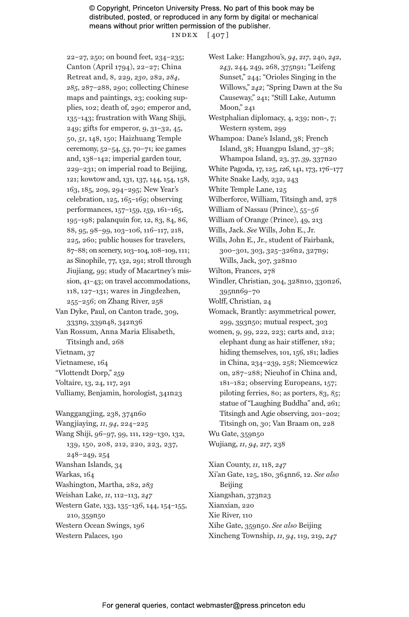#### © Copyright, Princeton University Press. No part of this book may be distributed, posted, or reproduced in any form by digital or mechanical means without prior written permission of the publisher. index [ 407 ]

22–27, 250; on bound feet, 234–235; Canton (April 1794), 22–27; China Retreat and, 8, 229, *230*, 282, *284*, *285*, 287–288, 290; collecting Chinese maps and paintings, 23; cooking supplies, 102; death of, 290; emperor and, 135–143; frustration with Wang Shiji, 249; gifts for emperor, 9, 31–32, 45, 50, *51*, 148, 150; Haizhuang Temple ceremony, 52–54, *53*, 70–71; ice games and, 138–142; imperial garden tour, 229–231; on imperial road to Beijing, 121; kowtow and, 131, 137, 144, 154, 158, 163, 185, 209, 294–295; New Year's celebration, 125, 165–169; observing performances, 157–159, *159*, 161–165, 195–198; palanquin for, 12, 83, 84, 86, 88, 95, 98–99, 103–106, 116–117, 218, 225, 260; public houses for travelers, 87–88; on scenery, 103–104, 108–109, 111; as Sinophile, 77, 132, 291; stroll through Jiujiang, 99; study of Macartney's mission, 41–43; on travel accommodations, 118, 127–131; wares in Jingdezhen, 255–256; on Zhang River, 258 Van Dyke, Paul, on Canton trade, 309, 333n9, 339n48, 342n36 Van Rossum, Anna Maria Elisabeth, Titsingh and, 268

Vietnam, 37 Vietnamese, 164 "Vlottendt Dorp," *259* Voltaire, 13, 24, 117, 291

Vulliamy, Benjamin, horologist, 341n23

Wanggangjing, 238, 374n60 Wangjiaying, *11*, *94*, 224–225 Wang Shiji, 96–97, 99, 111, 129–130, 132, 139, 150, 208, 212, 220, 223, 237, 248–249, 254 Wanshan Islands, 34 Warkas, 164 Washington, Martha, 282, *283* Weishan Lake, *11*, 112–113, *247* Western Gate, 133, 135–136, 144, 154–155, 210, 359n50 Western Ocean Swings, 196 Western Palaces, 190

West Lake: Hangzhou's, *94*, *217*, 240, *242*, *243*, 244, 249, 268, 375n91; "Leifeng Sunset," 244; "Orioles Singing in the Willows," *242*; "Spring Dawn at the Su Causeway," 241; "Still Lake, Autumn Moon," 241 Westphalian diplomacy, 4, 239; non-, 7; Western system, 299 Whampoa: Dane's Island, 38; French Island, 38; Huangpu Island, 37–38; Whampoa Island, 23, 37, *39*, 337n20 White Pagoda, 17, 125, *126*, 141, 173, 176–177 White Snake Lady, 232, 243 White Temple Lane, 125 Wilberforce, William, Titsingh and, 278 William of Nassau (Prince), 55–56 William of Orange (Prince), 49, 213 Wills, Jack. *See* Wills, John E., Jr. Wills, John E., Jr., student of Fairbank, 300–301, 303, 325–326n2, 327n9; Wills, Jack, 307, 328n10 Wilton, Frances, 278 Windler, Christian, 304, 328n10, 330n26, 395nn69–70 Wolff, Christian, 24 Womack, Brantly: asymmetrical power, 299, 393n50; mutual respect, 303 women, 9, 99, 222, 223; carts and, 212; elephant dung as hair stiffener, 182; hiding themselves, 101, 156, 181; ladies in China, 234–239, 258; Niemcewicz on, 287–288; Nieuhof in China and, 181–182; observing Europeans, 157; piloting ferries, 80; as porters, 83, *85*; statue of "Laughing Buddha" and, 261; Titsingh and Agie observing, 201–202; Titsingh on, 30; Van Braam on, 228 Wu Gate, 359n50 Wujiang, *11*, *94*, *217*, 238 Xian County, *11*, 118, *247* Xi'an Gate, 125, 180, 364nn6, 12. *See also* Beijing Xiangshan, 373n23 Xianxian, 220 Xie River, 110 Xihe Gate, 359n50. *See also* Beijing

Xincheng Township, *11*, *94*, 119, 219, *247*